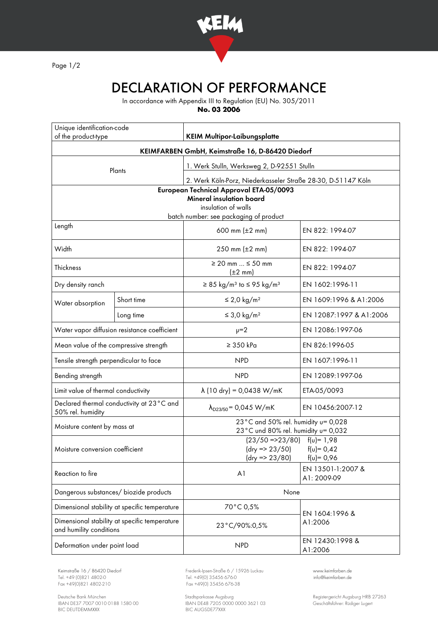

Page 1/2

## DECLARATION OF PERFORMANCE

In accordance with Appendix III to Regulation (EU) No. 305/2011

**No. 03 2006**

| Unique identification-code<br>of the product-type                          |            | <b>KEIM Multipor-Laibungsplatte</b>                                        |                                  |
|----------------------------------------------------------------------------|------------|----------------------------------------------------------------------------|----------------------------------|
|                                                                            |            |                                                                            |                                  |
|                                                                            |            | KEIMFARBEN GmbH, Keimstraße 16, D-86420 Diedorf                            |                                  |
| Plants                                                                     |            | 1. Werk Stulln, Werksweg 2, D-92551 Stulln                                 |                                  |
|                                                                            |            | 2. Werk Köln-Porz, Niederkasseler Straße 28-30, D-51147 Köln               |                                  |
| European Technical Approval ETA-05/0093<br><b>Mineral insulation board</b> |            |                                                                            |                                  |
| insulation of walls                                                        |            |                                                                            |                                  |
| Length                                                                     |            | batch number: see packaging of product                                     |                                  |
|                                                                            |            | 600 mm $(\pm 2 \, \text{mm})$                                              | EN 822: 1994-07                  |
| Width                                                                      |            | 250 mm $(\pm 2 \, \text{mm})$                                              | EN 822: 1994-07                  |
| Thickness                                                                  |            | $\geq$ 20 mm $\leq$ 50 mm<br>$(\pm 2 \text{ mm})$                          | EN 822: 1994-07                  |
| Dry density ranch                                                          |            | $\geq$ 85 kg/m <sup>3</sup> to $\leq$ 95 kg/m <sup>3</sup>                 | EN 1602:1996-11                  |
| Water absorption                                                           | Short time | $\leq$ 2,0 kg/m <sup>2</sup>                                               | EN 1609:1996 & A1:2006           |
|                                                                            | Long time  | $\leq$ 3,0 kg/m <sup>2</sup>                                               | EN 12087:1997 & A1:2006          |
| Water vapor diffusion resistance coefficient                               |            | $\nu = 2$                                                                  | EN 12086:1997-06                 |
| Mean value of the compressive strength                                     |            | $\geq$ 350 kPa                                                             | EN 826:1996-05                   |
| Tensile strength perpendicular to face                                     |            | <b>NPD</b>                                                                 | EN 1607:1996-11                  |
| Bending strength                                                           |            | <b>NPD</b>                                                                 | EN 12089:1997-06                 |
| Limit value of thermal conductivity                                        |            | $\lambda$ (10 dry) = 0,0438 W/mK                                           | ETA-05/0093                      |
| Declared thermal conductivity at 23°C and<br>50% rel. humidity             |            | $\lambda_{D23/50}$ = 0,045 W/mK                                            | EN 10456:2007-12                 |
| Moisture content by mass at                                                |            | 23°C and 50% rel. humidity u= 0,028<br>23°C und 80% rel. humidity u= 0,032 |                                  |
| Moisture conversion coefficient                                            |            | $(23/50 = 23/80)$ $f(u) = 1.98$                                            |                                  |
|                                                                            |            | $(dry = 23/50)$<br>$f(v) = 0,42$<br>(dry => 23/80)<br>$f(u) = 0,96$        |                                  |
| Reaction to fire                                                           |            | A <sub>1</sub>                                                             | EN 13501-1:2007 &<br>A1: 2009-09 |
| Dangerous substances/ biozide products                                     |            | None                                                                       |                                  |
| Dimensional stability at specific temperature                              |            | 70°C 0,5%                                                                  | EN 1604:1996 &<br>A1:2006        |
| Dimensional stability at specific temperature<br>and humility conditions   |            | 23°C/90%:0,5%                                                              |                                  |
| Deformation under point load                                               |            | <b>NPD</b>                                                                 | EN 12430:1998 &<br>A1:2006       |

Tel. +49 (0)821 4802-0 Tel. +49 (0) 35456 676-0 Fox +49 (0) 821 4802-0 info@ex +49 (0) 35456 676-38

Deutsche Bank München Stadtsparkasse Augsburg Registergericht Augsburg HRB 27263 IBAN DE37 7007 0010 0188 1580 00 IBAN DE48 7205 0000 0000 3621 03 Geschäftsführer: Rüdiger Lugert BIC DEUTDEMMXXX BIC AUGSDE77XXX

Keimstraße 16 / 86420 Diedorf Frederik-Ipsen-Straße 6 / 15926 Luckau [www.keimfarben.de](http://www.keimfarben.de/)  $Fax + 49(0)35456676-38$